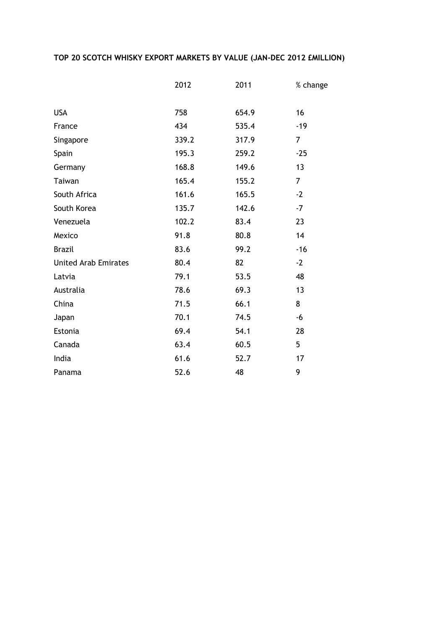## **TOP 20 SCOTCH WHISKY EXPORT MARKETS BY VALUE (JAN-DEC 2012 £MILLION)**

|                             | 2012  | 2011  | % change       |
|-----------------------------|-------|-------|----------------|
|                             |       |       |                |
| <b>USA</b>                  | 758   | 654.9 | 16             |
| France                      | 434   | 535.4 | $-19$          |
| Singapore                   | 339.2 | 317.9 | $\overline{7}$ |
| Spain                       | 195.3 | 259.2 | $-25$          |
| Germany                     | 168.8 | 149.6 | 13             |
| Taiwan                      | 165.4 | 155.2 | $\overline{7}$ |
| South Africa                | 161.6 | 165.5 | $-2$           |
| South Korea                 | 135.7 | 142.6 | $-7$           |
| Venezuela                   | 102.2 | 83.4  | 23             |
| Mexico                      | 91.8  | 80.8  | 14             |
| <b>Brazil</b>               | 83.6  | 99.2  | $-16$          |
| <b>United Arab Emirates</b> | 80.4  | 82    | $-2$           |
| Latvia                      | 79.1  | 53.5  | 48             |
| Australia                   | 78.6  | 69.3  | 13             |
| China                       | 71.5  | 66.1  | 8              |
| Japan                       | 70.1  | 74.5  | -6             |
| Estonia                     | 69.4  | 54.1  | 28             |
| Canada                      | 63.4  | 60.5  | 5              |
| India                       | 61.6  | 52.7  | 17             |
| Panama                      | 52.6  | 48    | 9              |